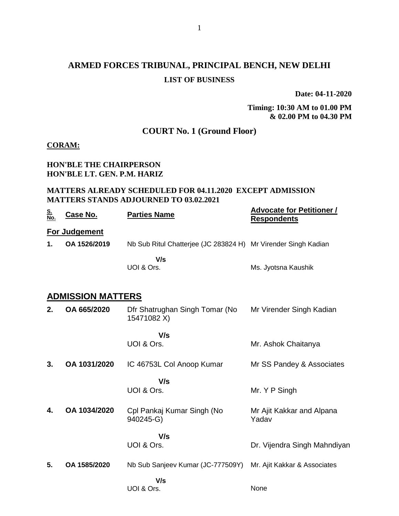# **ARMED FORCES TRIBUNAL, PRINCIPAL BENCH, NEW DELHI LIST OF BUSINESS**

**Date: 04-11-2020**

### **Timing: 10:30 AM to 01.00 PM & 02.00 PM to 04.30 PM**

## **COURT No. 1 (Ground Floor)**

#### **CORAM:**

### **HON'BLE THE CHAIRPERSON HON'BLE LT. GEN. P.M. HARIZ**

#### **MATTERS ALREADY SCHEDULED FOR 04.11.2020 EXCEPT ADMISSION MATTERS STANDS ADJOURNED TO 03.02.2021**

| <u>S.<br/>No.</u> | <u>Case No.</u>          | <b>Parties Name</b>                                            | <b>Advocate for Petitioner /</b><br><b>Respondents</b> |
|-------------------|--------------------------|----------------------------------------------------------------|--------------------------------------------------------|
|                   | For Judgement            |                                                                |                                                        |
| 1.                | OA 1526/2019             | Nb Sub Ritul Chatterjee (JC 283824 H) Mr Virender Singh Kadian |                                                        |
|                   |                          | V/s                                                            |                                                        |
|                   |                          | UOI & Ors.                                                     | Ms. Jyotsna Kaushik                                    |
|                   |                          |                                                                |                                                        |
|                   | <b>ADMISSION MATTERS</b> |                                                                |                                                        |
| 2.                | OA 665/2020              | Dfr Shatrughan Singh Tomar (No<br>15471082 X)                  | Mr Virender Singh Kadian                               |
|                   |                          | V/s                                                            |                                                        |
|                   |                          | UOI & Ors.                                                     | Mr. Ashok Chaitanya                                    |
| 3.                | OA 1031/2020             | IC 46753L Col Anoop Kumar                                      | Mr SS Pandey & Associates                              |
|                   |                          | V/s                                                            |                                                        |
|                   |                          | UOI & Ors.                                                     | Mr. Y P Singh                                          |
| 4.                | OA 1034/2020             | Cpl Pankaj Kumar Singh (No<br>940245-G)                        | Mr Ajit Kakkar and Alpana<br>Yadav                     |
|                   |                          | V/s                                                            |                                                        |
|                   |                          | UOI & Ors.                                                     | Dr. Vijendra Singh Mahndiyan                           |
| 5.                | OA 1585/2020             | Nb Sub Sanjeev Kumar (JC-777509Y)                              | Mr. Ajit Kakkar & Associates                           |
|                   |                          | V/s                                                            |                                                        |
|                   |                          | UOI & Ors.                                                     | None                                                   |
|                   |                          |                                                                |                                                        |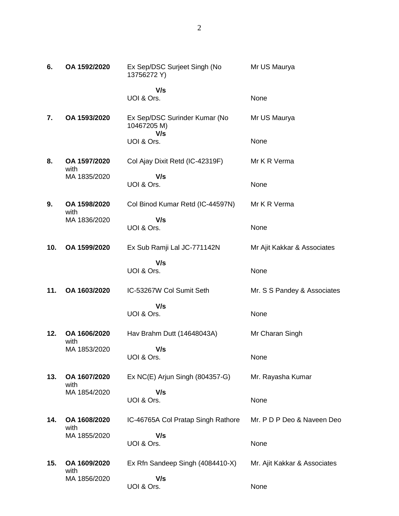| 6.  | OA 1592/2020         | Ex Sep/DSC Surjeet Singh (No<br>13756272 Y)  | Mr US Maurya                 |
|-----|----------------------|----------------------------------------------|------------------------------|
|     |                      | V/s<br>UOI & Ors.                            | None                         |
| 7.  | OA 1593/2020         | Ex Sep/DSC Surinder Kumar (No<br>10467205 M) | Mr US Maurya                 |
|     |                      | V/s<br>UOI & Ors.                            | None                         |
| 8.  | OA 1597/2020<br>with | Col Ajay Dixit Retd (IC-42319F)              | Mr K R Verma                 |
|     | MA 1835/2020         | V/s<br>UOI & Ors.                            | None                         |
| 9.  | OA 1598/2020<br>with | Col Binod Kumar Retd (IC-44597N)             | Mr K R Verma                 |
|     | MA 1836/2020         | V/s<br>UOI & Ors.                            | None                         |
| 10. | OA 1599/2020         | Ex Sub Ramji Lal JC-771142N                  | Mr Ajit Kakkar & Associates  |
|     |                      | V/s<br>UOI & Ors.                            | None                         |
| 11. | OA 1603/2020         | IC-53267W Col Sumit Seth                     | Mr. S S Pandey & Associates  |
|     |                      | V/s<br>UOI & Ors.                            | None                         |
| 12. | OA 1606/2020<br>with | Hav Brahm Dutt (14648043A)                   | Mr Charan Singh              |
|     | MA 1853/2020         | V/s<br>UOI & Ors.                            | None                         |
| 13. | OA 1607/2020<br>with | Ex NC(E) Arjun Singh (804357-G)              | Mr. Rayasha Kumar            |
|     | MA 1854/2020         | V/s<br>UOI & Ors.                            | None                         |
| 14. | OA 1608/2020<br>with | IC-46765A Col Pratap Singh Rathore           | Mr. P D P Deo & Naveen Deo   |
|     | MA 1855/2020         | V/s<br>UOI & Ors.                            | None                         |
| 15. | OA 1609/2020         | Ex Rfn Sandeep Singh (4084410-X)             | Mr. Ajit Kakkar & Associates |
|     | with<br>MA 1856/2020 | V/s<br>UOI & Ors.                            | None                         |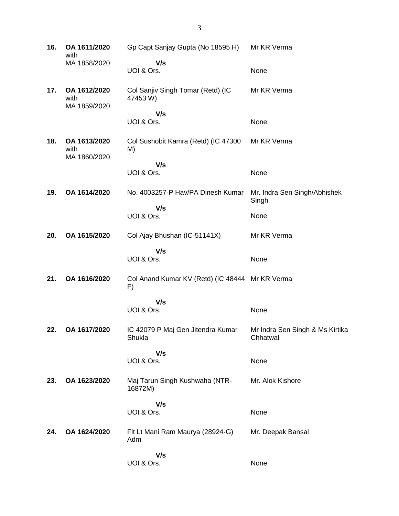| 16. | OA 1611/2020<br>with                 | Gp Capt Sanjay Gupta (No 18595 H)                     | Mr KR Verma                                 |
|-----|--------------------------------------|-------------------------------------------------------|---------------------------------------------|
|     | MA 1858/2020                         | V/s<br>UOI & Ors.                                     | None                                        |
| 17. | OA 1612/2020<br>with<br>MA 1859/2020 | Col Sanjiv Singh Tomar (Retd) (IC<br>47453 W)         | Mr KR Verma                                 |
|     |                                      | V/s<br>UOI & Ors.                                     | None                                        |
| 18. | OA 1613/2020<br>with<br>MA 1860/2020 | Col Sushobit Kamra (Retd) (IC 47300<br>M)             | Mr KR Verma                                 |
|     |                                      | V/s<br>UOI & Ors.                                     | None                                        |
| 19. | OA 1614/2020                         | No. 4003257-P Hav/PA Dinesh Kumar                     | Mr. Indra Sen Singh/Abhishek<br>Singh       |
|     |                                      | V/s<br>UOI & Ors.                                     | None                                        |
| 20. | OA 1615/2020                         | Col Ajay Bhushan (IC-51141X)                          | Mr KR Verma                                 |
|     |                                      | V/s<br>UOI & Ors.                                     | None                                        |
| 21. | OA 1616/2020                         | Col Anand Kumar KV (Retd) (IC 48444 Mr KR Verma<br>F) |                                             |
|     |                                      | V/s<br>UOI & Ors.                                     | None                                        |
| 22. | OA 1617/2020                         | IC 42079 P Maj Gen Jitendra Kumar<br>Shukla           | Mr Indra Sen Singh & Ms Kirtika<br>Chhatwal |
|     |                                      | V/s<br>UOI & Ors.                                     | None                                        |
| 23. | OA 1623/2020                         | Maj Tarun Singh Kushwaha (NTR-<br>16872M)             | Mr. Alok Kishore                            |
|     |                                      | V/s<br>UOI & Ors.                                     | None                                        |
| 24. | OA 1624/2020                         | Flt Lt Mani Ram Maurya (28924-G)<br>Adm               | Mr. Deepak Bansal                           |
|     |                                      | V/s<br>UOI & Ors.                                     | None                                        |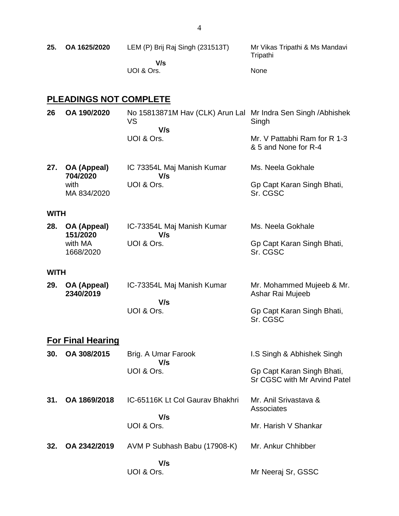| 25.         | OA 1625/2020                    | LEM (P) Brij Raj Singh (231513T)<br>V/s<br>UOI & Ors.                             | Mr Vikas Tripathi & Ms Mandavi<br>Tripathi<br>None         |
|-------------|---------------------------------|-----------------------------------------------------------------------------------|------------------------------------------------------------|
|             | <b>PLEADINGS NOT COMPLETE</b>   |                                                                                   |                                                            |
| 26          | OA 190/2020                     | No 15813871M Hav (CLK) Arun Lal Mr Indra Sen Singh / Abhishek<br><b>VS</b><br>V/s | Singh                                                      |
|             |                                 | UOI & Ors.                                                                        | Mr. V Pattabhi Ram for R 1-3<br>& 5 and None for R-4       |
| 27.         | OA (Appeal)                     | IC 73354L Maj Manish Kumar                                                        | Ms. Neela Gokhale                                          |
|             | 704/2020<br>with<br>MA 834/2020 | V/s<br>UOI & Ors.                                                                 | Gp Capt Karan Singh Bhati,<br>Sr. CGSC                     |
| <b>WITH</b> |                                 |                                                                                   |                                                            |
| 28.         | OA (Appeal)<br>151/2020         | IC-73354L Maj Manish Kumar<br>V/s                                                 | Ms. Neela Gokhale                                          |
|             | with MA<br>1668/2020            | UOI & Ors.                                                                        | Gp Capt Karan Singh Bhati,<br>Sr. CGSC                     |
| <b>WITH</b> |                                 |                                                                                   |                                                            |
| 29.         | OA (Appeal)<br>2340/2019        | IC-73354L Maj Manish Kumar<br>V/s                                                 | Mr. Mohammed Mujeeb & Mr.<br>Ashar Rai Mujeeb              |
|             |                                 | UOI & Ors.                                                                        | Gp Capt Karan Singh Bhati,<br>Sr. CGSC                     |
|             | <b>For Final Hearing</b>        |                                                                                   |                                                            |
| 30.         | OA 308/2015                     | Brig. A Umar Farook<br>V/s                                                        | I.S Singh & Abhishek Singh                                 |
|             |                                 | UOI & Ors.                                                                        | Gp Capt Karan Singh Bhati,<br>Sr CGSC with Mr Arvind Patel |
| 31.         | OA 1869/2018                    | IC-65116K Lt Col Gauray Bhakhri                                                   | Mr. Anil Srivastava &<br>Associates                        |
|             |                                 | V/s<br>UOI & Ors.                                                                 | Mr. Harish V Shankar                                       |
| 32.         | OA 2342/2019                    | AVM P Subhash Babu (17908-K)                                                      | Mr. Ankur Chhibber                                         |

Mr Neeraj Sr, GSSC

 **V/s** UOI & Ors.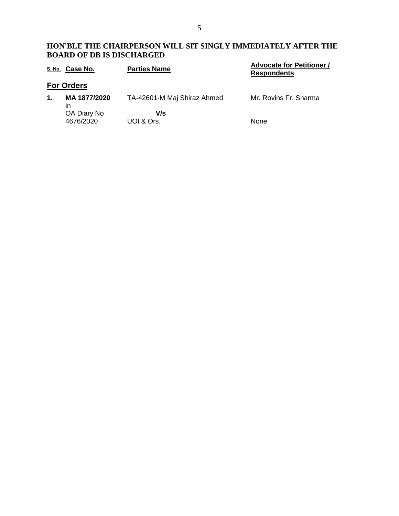### **HON'BLE THE CHAIRPERSON WILL SIT SINGLY IMMEDIATELY AFTER THE BOARD OF DB IS DISCHARGED**

|               | S. No. Case No.          | <b>Parties Name</b>         | <b>Advocate for Petitioner /</b><br><b>Respondents</b> |
|---------------|--------------------------|-----------------------------|--------------------------------------------------------|
|               | <b>For Orders</b>        |                             |                                                        |
| $\mathbf 1$ . | MA 1877/2020<br>ın       | TA-42601-M Maj Shiraz Ahmed | Mr. Rovins Fr. Sharma                                  |
|               | OA Diary No<br>4676/2020 | V/s<br>UOI & Ors.           | <b>None</b>                                            |